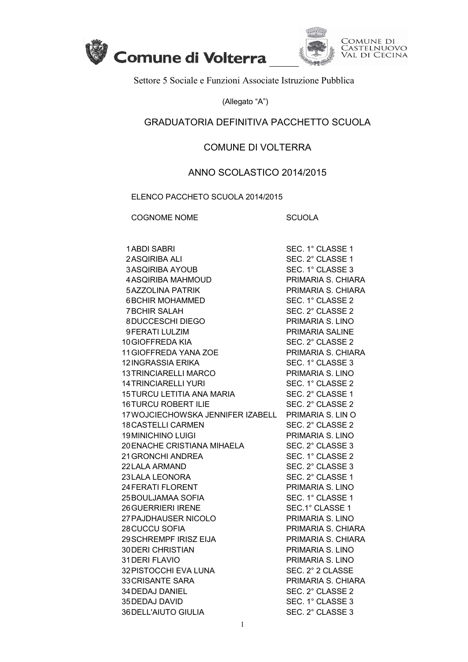



Settore 5 Sociale e Funzioni Associate Istruzione Pubblica

(Allegato "A")

## GRADUATORIA DEFINITIVA PACCHETTO SCUOLA

## COMUNE DI VOLTERRA

## ANNO SCOLASTICO 2014/2015

ELENCO PACCHETO SCUOLA 2014/2015

COGNOME NOME SCUOLA

| <b>1ABDI SABRI</b>                                  | SEC. 1° CLASSE 1   |
|-----------------------------------------------------|--------------------|
| 2 ASQIRIBA ALI                                      | SEC. 2° CLASSE 1   |
| <b>3ASQIRIBA AYOUB</b>                              | SEC. 1° CLASSE 3   |
| 4 ASQIRIBA MAHMOUD                                  | PRIMARIA S. CHIARA |
| <b>5AZZOLINA PATRIK</b>                             | PRIMARIA S. CHIARA |
| <b>6BCHIR MOHAMMED</b>                              | SEC. 1° CLASSE 2   |
| <b>7BCHIR SALAH</b>                                 | SEC. 2° CLASSE 2   |
| 8DUCCESCHI DIEGO                                    | PRIMARIA S. LINO   |
| 9 FERATI LULZIM                                     | PRIMARIA SALINE    |
| 10 GIOFFREDA KIA                                    | SEC. 2° CLASSE 2   |
| 11 GIOFFREDA YANA ZOE                               | PRIMARIA S. CHIARA |
| 12 INGRASSIA ERIKA                                  | SEC. 1° CLASSE 3   |
| 13 TRINCIARELLI MARCO                               | PRIMARIA S. LINO   |
| <b>14 TRINCIARELLI YURI</b>                         | SEC. 1° CLASSE 2   |
| 14 I RINCIARELLI YURI<br>15TURCU LETITIA ANA MARIA  | SEC. 2° CLASSE 1   |
| <b>16TURCU ROBERT ILIE</b>                          | SEC. 2° CLASSE 2   |
| 17 WOJCIECHOWSKA JENNIFER IZABELL PRIMARIA S. LIN O |                    |
| <b>18 CASTELLI CARMEN</b>                           | SEC. 2° CLASSE 2   |
| <b>19 MINICHINO LUIGI</b>                           | PRIMARIA S. LINO   |
| 20 ENACHE CRISTIANA MIHAELA                         | SEC. 2° CLASSE 3   |
| 21 GRONCHI ANDREA                                   | SEC. 1° CLASSE 2   |
| 22 LALA ARMAND                                      | SEC. 2° CLASSE 3   |
| 23 LALA LEONORA                                     | SEC. 2° CLASSE 1   |
| 24 FERATI FLORENT                                   | PRIMARIA S. LINO   |
| 25 BOULJAMAA SOFIA                                  | SEC. 1° CLASSE 1   |
| <b>26 GUERRIERI IRENE</b>                           | SEC.1° CLASSE 1    |
| 27 PAJDHAUSER NICOLO                                | PRIMARIA S. LINO   |
| 28 CUCCU SOFIA                                      | PRIMARIA S. CHIARA |
| 29 SCHREMPF IRISZ EIJA                              | PRIMARIA S. CHIARA |
| <b>30 DERI CHRISTIAN</b>                            | PRIMARIA S. LINO   |
| 31 DERI FLAVIO                                      | PRIMARIA S. LINO   |
| 32 PISTOCCHI EVA LUNA                               | SEC. 2° 2 CLASSE   |
| <b>33 CRISANTE SARA</b>                             | PRIMARIA S. CHIARA |
| 34 DEDAJ DANIEL                                     | SEC. 2° CLASSE 2   |
| 35 DEDAJ DAVID                                      | SEC. 1° CLASSE 3   |
| 36 DELL'AIUTO GIULIA                                | SEC. 2° CLASSE 3   |
|                                                     |                    |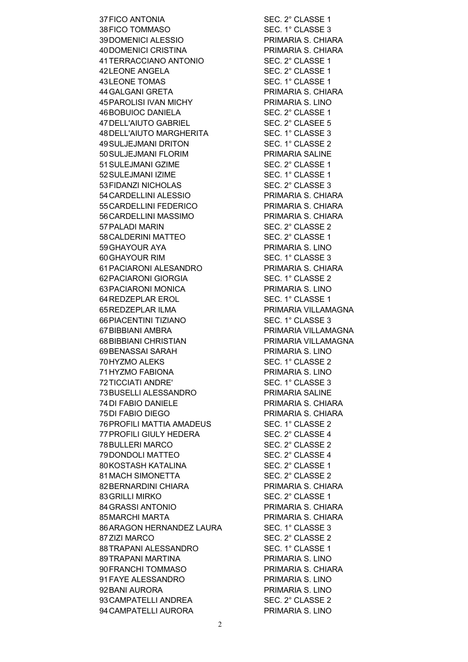37FICO ANTONIA SEC. 2° CLASSE 1 38 FICO TOMMASO SEC. 1° CLASSE 3 39DOMENICI ALESSIO PRIMARIA S. CHIARA 40DOMENICI CRISTINA PRIMARIA S. CHIARA 41TERRACCIANO ANTONIO SEC. 2° CLASSE 1 42 LEONE ANGELA SEC. 2° CLASSE 1 43 LEONE TOMAS SEC. 1° CLASSE 1 44GALGANI GRETA PRIMARIA S. CHIARA 45PAROLISI IVAN MICHY PRIMARIA S. LINO 46BOBUIOC DANIELA SEC. 2° CLASSE 1 47 DELL'AIUTO GABRIEL SEC. 2° CLASEE 5 48 DELL'AIUTO MARGHERITA SEC. 1° CLASSE 3 49SULJEJMANI DRITON SEC. 1° CLASSE 2 50SULJEJMANI FLORIM PRIMARIA SALINE 51 SULEJMANI GZIME SEC. 2° CLASSE 1 52 SULEJMANI IZIME SEC. 1° CLASSE 1 53 FIDANZI NICHOLAS SEC. 2° CLASSE 3 54CARDELLINI ALESSIO PRIMARIA S. CHIARA 55CARDELLINI FEDERICO PRIMARIA S. CHIARA 56CARDELLINI MASSIMO PRIMARIA S. CHIARA 57PALADI MARIN SEC. 2° CLASSE 2 58 CALDERINI MATTEO
SEC. 2° CLASSE 1 59GHAYOUR AYA PRIMARIA S. LINO 60 GHAYOUR RIM SEC. 1° CLASSE 3 61PACIARONI ALESANDRO PRIMARIA S. CHIARA 62 PACIARONI GIORGIA SEC. 1° CLASSE 2 63PACIARONI MONICA PRIMARIA S. LINO 64REDZEPLAR EROL SEC. 1° CLASSE 1 65REDZEPLAR ILMA PRIMARIA VILLAMAGNA 66PIACENTINI TIZIANO SEC. 1° CLASSE 3 67BIBBIANI AMBRA PRIMARIA VILLAMAGNA 68BIBBIANI CHRISTIAN PRIMARIA VILLAMAGNA 69BENASSAI SARAH PRIMARIA S. LINO 70 HYZMO ALEKS SEC. 1° CLASSE 2 71HYZMO FABIONA PRIMARIA S. LINO 72TICCIATI ANDRE' SEC. 1° CLASSE 3 73BUSELLI ALESSANDRO PRIMARIA SALINE 74DI FABIO DANIELE PRIMARIA S. CHIARA 75DI FABIO DIEGO PRIMARIA S. CHIARA 76PROFILI MATTIA AMADEUS SEC. 1° CLASSE 2 77 PROFILI GIULY HEDERA SEC. 2° CLASSE 4 78 BULLERI MARCO SEC. 2° CLASSE 2 79 DONDOLI MATTEO SEC. 2° CLASSE 4 80 KOSTASH KATALINA SEC. 2° CLASSE 1 81 MACH SIMONETTA SEC. 2° CLASSE 2 82 BERNARDINI CHIARA PRIMARIA S. CHIARA 83 GRILLI MIRKO SEC. 2° CLASSE 1 84GRASSI ANTONIO PRIMARIA S. CHIARA 85MARCHI MARTA PRIMARIA S. CHIARA 86ARAGON HERNANDEZ LAURA SEC. 1° CLASSE 3 87 ZIZI MARCO SEC. 2° CLASSE 2 88TRAPANI ALESSANDRO SEC. 1° CLASSE 1 89TRAPANI MARTINA PRIMARIA S. LINO 90FRANCHI TOMMASO PRIMARIA S. CHIARA 91 FAYE ALESSANDRO PRIMARIA S. LINO 92 BANI AURORA PRIMARIA S. LINO 93 CAMPATELLI ANDREA SEC. 2° CLASSE 2 94 CAMPATELLI AURORA PRIMARIA S. LINO